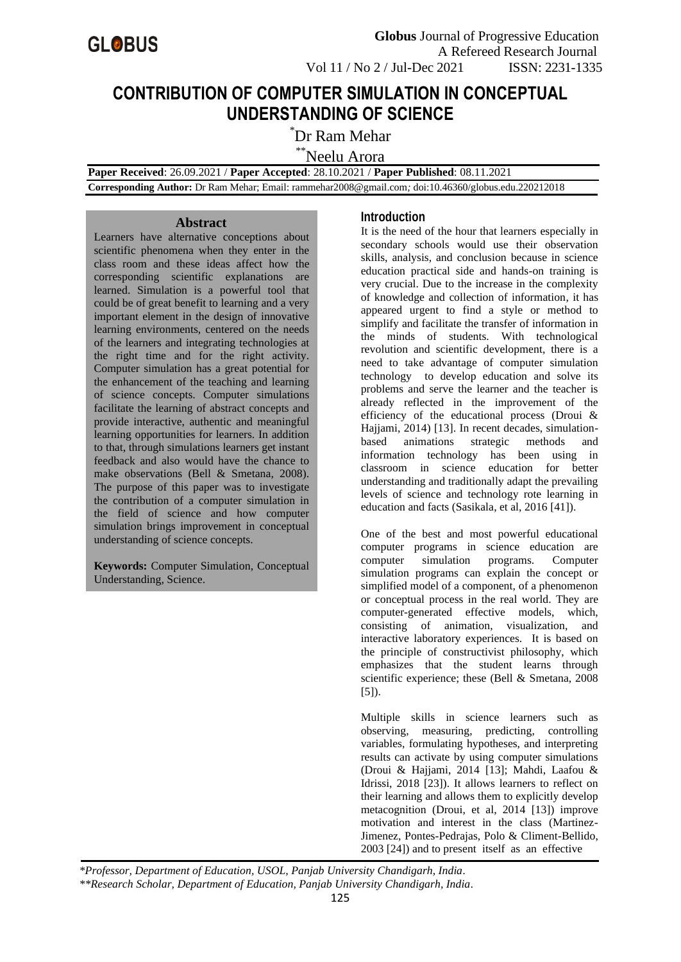

 **Globus** Journal of Progressive Education A Refereed Research Journal Vol 11 / No 2 / Jul-Dec 2021 ISSN: 2231-1335

# **CONTRIBUTION OF COMPUTER SIMULATION IN CONCEPTUAL UNDERSTANDING OF SCIENCE**

\*Dr Ram Mehar

\*\*Neelu Arora

 **Paper Received**: 26.09.2021 / **Paper Accepted**: 28.10.2021 / **Paper Published**: 08.11.2021

 **Corresponding Author:** Dr Ram Mehar; Email: rammehar2008@gmail.com*;* doi:10.46360/globus.edu.220212018

## **Abstract**

Learners have alternative conceptions about scientific phenomena when they enter in the class room and these ideas affect how the corresponding scientific explanations are learned. Simulation is a powerful tool that could be of great benefit to learning and a very important element in the design of innovative learning environments, centered on the needs of the learners and integrating technologies at the right time and for the right activity. Computer simulation has a great potential for the enhancement of the teaching and learning of science concepts. Computer simulations facilitate the learning of abstract concepts and provide interactive, authentic and meaningful learning opportunities for learners. In addition to that, through simulations learners get instant feedback and also would have the chance to make observations (Bell & Smetana, 2008). The purpose of this paper was to investigate the contribution of a computer simulation in the field of science and how computer simulation brings improvement in conceptual understanding of science concepts.

**Keywords:** Computer Simulation, Conceptual Understanding, Science.

#### **Introduction**

It is the need of the hour that learners especially in secondary schools would use their observation skills, analysis, and conclusion because in science education practical side and hands-on training is very crucial. Due to the increase in the complexity of knowledge and collection of information, it has appeared urgent to find a style or method to simplify and facilitate the transfer of information in the minds of students. With technological revolution and scientific development, there is a need to take advantage of computer simulation technology to develop education and solve its problems and serve the learner and the teacher is already reflected in the improvement of the efficiency of the educational process (Droui & Hajjami, 2014) [13]. In recent decades, simulationbased animations strategic methods and information technology has been using in classroom in science education for better understanding and traditionally adapt the prevailing levels of science and technology rote learning in education and facts (Sasikala, et al, 2016 [41]).

One of the best and most powerful educational computer programs in science education are computer simulation programs. Computer simulation programs can explain the concept or simplified model of a component, of a phenomenon or conceptual process in the real world. They are computer-generated effective models, which, consisting of animation, visualization, and interactive laboratory experiences. It is based on the principle of constructivist philosophy, which emphasizes that the student learns through scientific experience; these (Bell & Smetana, 2008 [5]).

Multiple skills in science learners such as observing, measuring, predicting, controlling variables, formulating hypotheses, and interpreting results can activate by using computer simulations (Droui & Hajjami, 2014 [13]; Mahdi, Laafou & Idrissi, 2018 [23]). It allows learners to reflect on their learning and allows them to explicitly develop metacognition (Droui, et al, 2014 [13]) improve motivation and interest in the class (Martinez-Jimenez, Pontes-Pedrajas, Polo & Climent-Bellido, 2003 [24]) and to present itself as an effective

*\*Professor, Department of Education, USOL, Panjab University Chandigarh, India. \*\*Research Scholar, Department of Education, Panjab University Chandigarh, India.*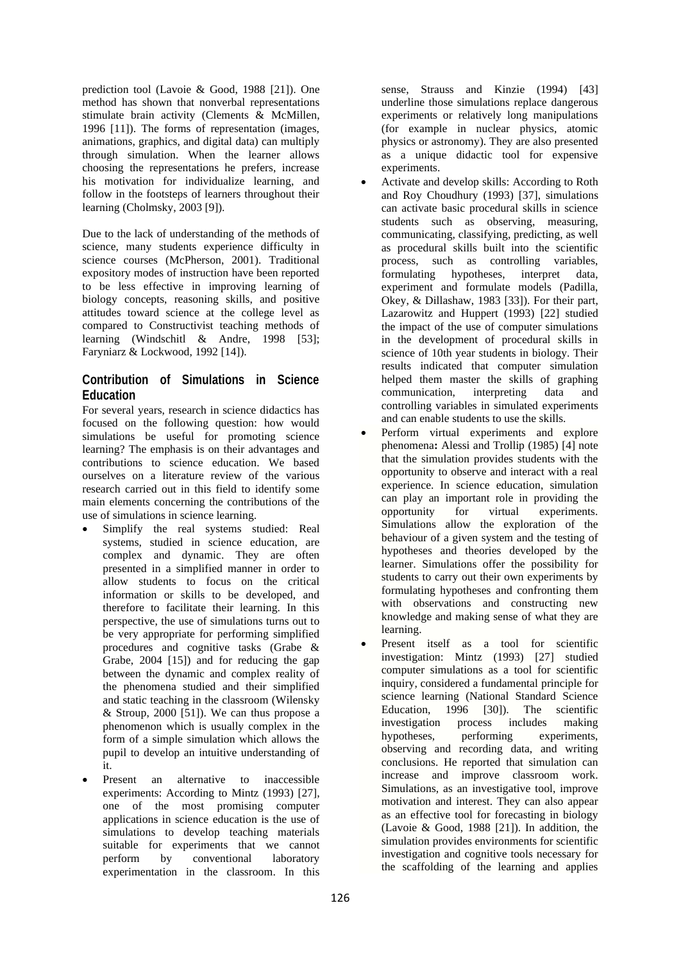prediction tool (Lavoie & Good, 1988 [21]). One method has shown that nonverbal representations stimulate brain activity (Clements & McMillen, 1996 [11]). The forms of representation (images, animations, graphics, and digital data) can multiply through simulation. When the learner allows choosing the representations he prefers, increase his motivation for individualize learning, and follow in the footsteps of learners throughout their learning (Cholmsky, 2003 [9]).

Due to the lack of understanding of the methods of science, many students experience difficulty in science courses (McPherson, 2001). Traditional expository modes of instruction have been reported to be less effective in improving learning of biology concepts, reasoning skills, and positive attitudes toward science at the college level as compared to Constructivist teaching methods of learning (Windschitl & Andre, 1998 [53]; Faryniarz & Lockwood, 1992 [14]).

# **Contribution of Simulations in Science Education**

For several years, research in science didactics has focused on the following question: how would simulations be useful for promoting science learning? The emphasis is on their advantages and contributions to science education. We based ourselves on a literature review of the various research carried out in this field to identify some main elements concerning the contributions of the use of simulations in science learning.

- Simplify the real systems studied: Real systems, studied in science education, are complex and dynamic. They are often presented in a simplified manner in order to allow students to focus on the critical information or skills to be developed, and therefore to facilitate their learning. In this perspective, the use of simulations turns out to be very appropriate for performing simplified procedures and cognitive tasks (Grabe & Grabe, 2004 [15]) and for reducing the gap between the dynamic and complex reality of the phenomena studied and their simplified and static teaching in the classroom (Wilensky  $&$  Stroup, 2000 [51]). We can thus propose a phenomenon which is usually complex in the form of a simple simulation which allows the pupil to develop an intuitive understanding of it.
- Present an alternative to inaccessible experiments: According to Mintz (1993) [27], one of the most promising computer applications in science education is the use of simulations to develop teaching materials suitable for experiments that we cannot perform by conventional laboratory experimentation in the classroom. In this

sense, Strauss and Kinzie (1994) [43] underline those simulations replace dangerous experiments or relatively long manipulations (for example in nuclear physics, atomic physics or astronomy). They are also presented as a unique didactic tool for expensive experiments.

- Activate and develop skills: According to Roth and Roy Choudhury (1993) [37], simulations can activate basic procedural skills in science students such as observing, measuring, communicating, classifying, predicting, as well as procedural skills built into the scientific process, such as controlling variables, formulating hypotheses, interpret data, experiment and formulate models (Padilla, Okey, & Dillashaw, 1983 [33]). For their part, Lazarowitz and Huppert (1993) [22] studied the impact of the use of computer simulations in the development of procedural skills in science of 10th year students in biology. Their results indicated that computer simulation helped them master the skills of graphing communication, interpreting data and controlling variables in simulated experiments and can enable students to use the skills.
- Perform virtual experiments and explore phenomena**:** Alessi and Trollip (1985) [4] note that the simulation provides students with the opportunity to observe and interact with a real experience. In science education, simulation can play an important role in providing the opportunity for virtual experiments. Simulations allow the exploration of the behaviour of a given system and the testing of hypotheses and theories developed by the learner. Simulations offer the possibility for students to carry out their own experiments by formulating hypotheses and confronting them with observations and constructing new knowledge and making sense of what they are learning.
- Present itself as a tool for scientific investigation: Mintz (1993) [27] studied computer simulations as a tool for scientific inquiry, considered a fundamental principle for science learning (National Standard Science Education, 1996 [30]). The scientific investigation process includes making hypotheses, performing experiments, observing and recording data, and writing conclusions. He reported that simulation can increase and improve classroom work. Simulations, as an investigative tool, improve motivation and interest. They can also appear as an effective tool for forecasting in biology (Lavoie & Good, 1988 [21]). In addition, the simulation provides environments for scientific investigation and cognitive tools necessary for the scaffolding of the learning and applies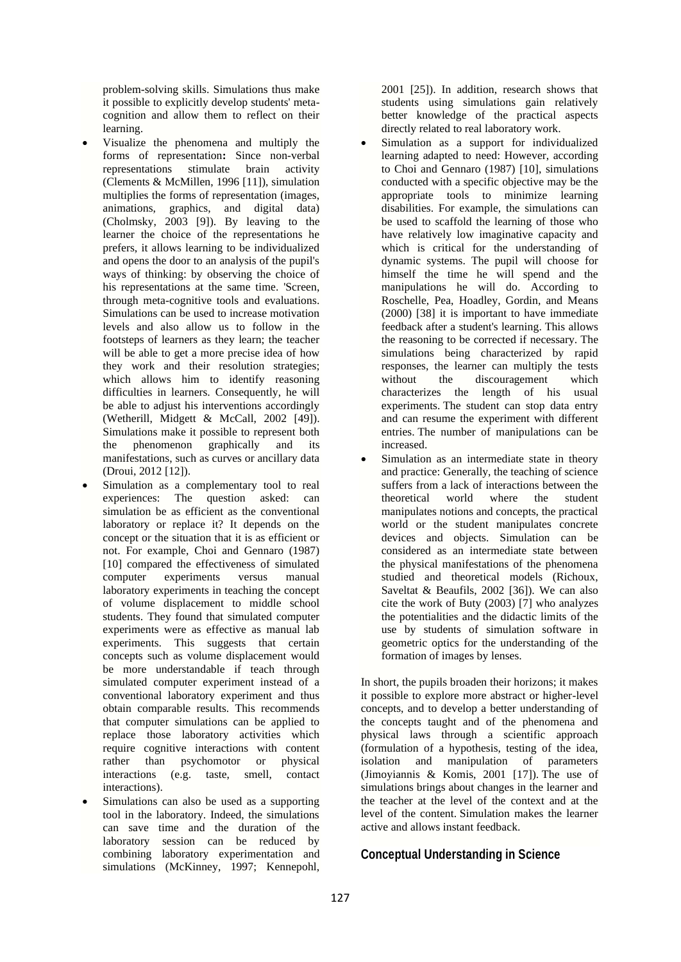problem-solving skills. Simulations thus make it possible to explicitly develop students' metacognition and allow them to reflect on their learning.

- Visualize the phenomena and multiply the forms of representation**:** Since non-verbal representations stimulate brain activity (Clements & McMillen, 1996 [11]), simulation multiplies the forms of representation (images, animations, graphics, and digital data) (Cholmsky, 2003 [9]). By leaving to the learner the choice of the representations he prefers, it allows learning to be individualized and opens the door to an analysis of the pupil's ways of thinking: by observing the choice of his representations at the same time. 'Screen, through meta-cognitive tools and evaluations. Simulations can be used to increase motivation levels and also allow us to follow in the footsteps of learners as they learn; the teacher will be able to get a more precise idea of how they work and their resolution strategies; which allows him to identify reasoning difficulties in learners. Consequently, he will be able to adjust his interventions accordingly (Wetherill, Midgett & McCall, 2002 [49]). Simulations make it possible to represent both the phenomenon graphically and its manifestations, such as curves or ancillary data (Droui, 2012 [12]).
- Simulation as a complementary tool to real experiences: The question asked: can simulation be as efficient as the conventional laboratory or replace it? It depends on the concept or the situation that it is as efficient or not. For example, Choi and Gennaro (1987) [10] compared the effectiveness of simulated computer experiments versus manual laboratory experiments in teaching the concept of volume displacement to middle school students. They found that simulated computer experiments were as effective as manual lab experiments. This suggests that certain concepts such as volume displacement would be more understandable if teach through simulated computer experiment instead of a conventional laboratory experiment and thus obtain comparable results. This recommends that computer simulations can be applied to replace those laboratory activities which require cognitive interactions with content rather than psychomotor or physical interactions (e.g. taste, smell, contact interactions).
- Simulations can also be used as a supporting tool in the laboratory. Indeed, the simulations can save time and the duration of the laboratory session can be reduced by combining laboratory experimentation and simulations (McKinney, 1997; Kennepohl,

2001 [25]). In addition, research shows that students using simulations gain relatively better knowledge of the practical aspects directly related to real laboratory work.

- Simulation as a support for individualized learning adapted to need: However, according to Choi and Gennaro (1987) [10], simulations conducted with a specific objective may be the appropriate tools to minimize learning disabilities. For example, the simulations can be used to scaffold the learning of those who have relatively low imaginative capacity and which is critical for the understanding of dynamic systems. The pupil will choose for himself the time he will spend and the manipulations he will do. According to Roschelle, Pea, Hoadley, Gordin, and Means (2000) [38] it is important to have immediate feedback after a student's learning. This allows the reasoning to be corrected if necessary. The simulations being characterized by rapid responses, the learner can multiply the tests without the discouragement which characterizes the length of his usual experiments. The student can stop data entry and can resume the experiment with different entries. The number of manipulations can be increased.
- Simulation as an intermediate state in theory and practice: Generally, the teaching of science suffers from a lack of interactions between the theoretical world where the student manipulates notions and concepts, the practical world or the student manipulates concrete devices and objects. Simulation can be considered as an intermediate state between the physical manifestations of the phenomena studied and theoretical models (Richoux, Saveltat & Beaufils, 2002 [36]). We can also cite the work of Buty (2003) [7] who analyzes the potentialities and the didactic limits of the use by students of simulation software in geometric optics for the understanding of the formation of images by lenses.

In short, the pupils broaden their horizons; it makes it possible to explore more abstract or higher-level concepts, and to develop a better understanding of the concepts taught and of the phenomena and physical laws through a scientific approach (formulation of a hypothesis, testing of the idea, isolation and manipulation of parameters (Jimoyiannis & Komis, 2001 [17]). The use of simulations brings about changes in the learner and the teacher at the level of the context and at the level of the content. Simulation makes the learner active and allows instant feedback.

## **Conceptual Understanding in Science**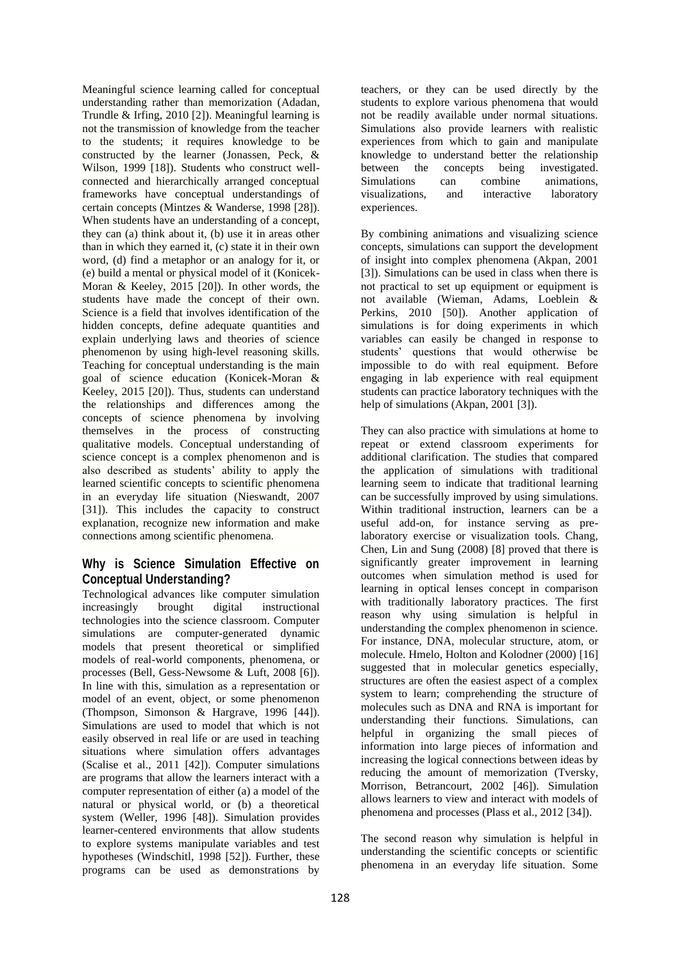Meaningful science learning called for conceptual understanding rather than memorization (Adadan, Trundle & Irfing, 2010 [2]). Meaningful learning is not the transmission of knowledge from the teacher to the students; it requires knowledge to be constructed by the learner (Jonassen, Peck, & Wilson, 1999 [18]). Students who construct wellconnected and hierarchically arranged conceptual frameworks have conceptual understandings of certain concepts (Mintzes & Wanderse, 1998 [28]). When students have an understanding of a concept, they can (a) think about it, (b) use it in areas other than in which they earned it, (c) state it in their own word, (d) find a metaphor or an analogy for it, or (e) build a mental or physical model of it (Konicek-Moran & Keeley, 2015 [20]). In other words, the students have made the concept of their own. Science is a field that involves identification of the hidden concepts, define adequate quantities and explain underlying laws and theories of science phenomenon by using high-level reasoning skills. Teaching for conceptual understanding is the main goal of science education (Konicek-Moran & Keeley, 2015 [20]). Thus, students can understand the relationships and differences among the concepts of science phenomena by involving themselves in the process of constructing qualitative models. Conceptual understanding of science concept is a complex phenomenon and is also described as students' ability to apply the learned scientific concepts to scientific phenomena in an everyday life situation (Nieswandt, 2007 [31]). This includes the capacity to construct explanation, recognize new information and make connections among scientific phenomena.

## **Why is Science Simulation Effective on Conceptual Understanding?**

Technological advances like computer simulation increasingly brought digital instructional technologies into the science classroom. Computer simulations are computer-generated dynamic models that present theoretical or simplified models of real-world components, phenomena, or processes (Bell, Gess-Newsome & Luft, 2008 [6]). In line with this, simulation as a representation or model of an event, object, or some phenomenon (Thompson, Simonson & Hargrave, 1996 [44]). Simulations are used to model that which is not easily observed in real life or are used in teaching situations where simulation offers advantages (Scalise et al., 2011 [42]). Computer simulations are programs that allow the learners interact with a computer representation of either (a) a model of the natural or physical world, or (b) a theoretical system (Weller, 1996 [48]). Simulation provides learner-centered environments that allow students to explore systems manipulate variables and test hypotheses (Windschitl, 1998 [52]). Further, these programs can be used as demonstrations by

teachers, or they can be used directly by the students to explore various phenomena that would not be readily available under normal situations. Simulations also provide learners with realistic experiences from which to gain and manipulate knowledge to understand better the relationship between the concepts being investigated.<br>Simulations can combine animations. Simulations can combine animations, visualizations, and interactive laboratory experiences.

By combining animations and visualizing science concepts, simulations can support the development of insight into complex phenomena (Akpan, 2001 [3]). Simulations can be used in class when there is not practical to set up equipment or equipment is not available (Wieman, Adams, Loeblein & Perkins, 2010 [50]). Another application of simulations is for doing experiments in which variables can easily be changed in response to students' questions that would otherwise be impossible to do with real equipment. Before engaging in lab experience with real equipment students can practice laboratory techniques with the help of simulations (Akpan, 2001 [3]).

They can also practice with simulations at home to repeat or extend classroom experiments for additional clarification. The studies that compared the application of simulations with traditional learning seem to indicate that traditional learning can be successfully improved by using simulations. Within traditional instruction, learners can be a useful add-on, for instance serving as prelaboratory exercise or visualization tools. Chang, Chen, Lin and Sung (2008) [8] proved that there is significantly greater improvement in learning outcomes when simulation method is used for learning in optical lenses concept in comparison with traditionally laboratory practices. The first reason why using simulation is helpful in understanding the complex phenomenon in science. For instance, DNA, molecular structure, atom, or molecule. Hmelo, Holton and Kolodner (2000) [16] suggested that in molecular genetics especially, structures are often the easiest aspect of a complex system to learn; comprehending the structure of molecules such as DNA and RNA is important for understanding their functions. Simulations, can helpful in organizing the small pieces of information into large pieces of information and increasing the logical connections between ideas by reducing the amount of memorization (Tversky, Morrison, Betrancourt, 2002 [46]). Simulation allows learners to view and interact with models of phenomena and processes (Plass et al., 2012 [34]).

The second reason why simulation is helpful in understanding the scientific concepts or scientific phenomena in an everyday life situation. Some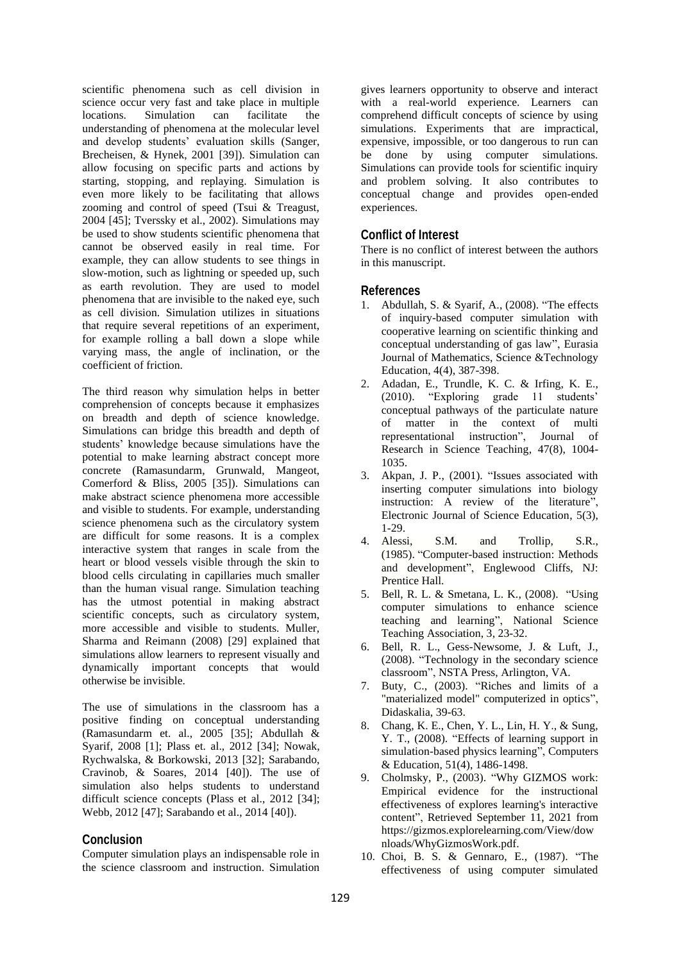scientific phenomena such as cell division in science occur very fast and take place in multiple locations. Simulation can facilitate the understanding of phenomena at the molecular level and develop students' evaluation skills (Sanger, Brecheisen, & Hynek, 2001 [39]). Simulation can allow focusing on specific parts and actions by starting, stopping, and replaying. Simulation is even more likely to be facilitating that allows zooming and control of speed (Tsui & Treagust, 2004 [45]; Tverssky et al., 2002). Simulations may be used to show students scientific phenomena that cannot be observed easily in real time. For example, they can allow students to see things in slow-motion, such as lightning or speeded up, such as earth revolution. They are used to model phenomena that are invisible to the naked eye, such as cell division. Simulation utilizes in situations that require several repetitions of an experiment, for example rolling a ball down a slope while varying mass, the angle of inclination, or the coefficient of friction.

The third reason why simulation helps in better comprehension of concepts because it emphasizes on breadth and depth of science knowledge. Simulations can bridge this breadth and depth of students' knowledge because simulations have the potential to make learning abstract concept more concrete (Ramasundarm, Grunwald, Mangeot, Comerford & Bliss, 2005 [35]). Simulations can make abstract science phenomena more accessible and visible to students. For example, understanding science phenomena such as the circulatory system are difficult for some reasons. It is a complex interactive system that ranges in scale from the heart or blood vessels visible through the skin to blood cells circulating in capillaries much smaller than the human visual range. Simulation teaching has the utmost potential in making abstract scientific concepts, such as circulatory system, more accessible and visible to students. Muller, Sharma and Reimann (2008) [29] explained that simulations allow learners to represent visually and dynamically important concepts that would otherwise be invisible.

The use of simulations in the classroom has a positive finding on conceptual understanding (Ramasundarm et. al., 2005 [35]; Abdullah & Syarif, 2008 [1]; Plass et. al., 2012 [34]; Nowak, Rychwalska, & Borkowski, 2013 [32]; Sarabando, Cravinob, & Soares, 2014 [40]). The use of simulation also helps students to understand difficult science concepts (Plass et al., 2012 [34]; Webb, 2012 [47]; Sarabando et al., 2014 [40]).

## **Conclusion**

Computer simulation plays an indispensable role in the science classroom and instruction. Simulation

gives learners opportunity to observe and interact with a real-world experience. Learners can comprehend difficult concepts of science by using simulations. Experiments that are impractical, expensive, impossible, or too dangerous to run can be done by using computer simulations. Simulations can provide tools for scientific inquiry and problem solving. It also contributes to conceptual change and provides open-ended experiences.

## **Conflict of Interest**

There is no conflict of interest between the authors in this manuscript.

#### **References**

- 1. Abdullah, S. & Syarif, A., (2008). "The effects of inquiry-based computer simulation with cooperative learning on scientific thinking and conceptual understanding of gas law", Eurasia Journal of Mathematics, Science &Technology Education, 4(4), 387-398.
- 2. Adadan, E., Trundle, K. C. & Irfing, K. E., (2010). "Exploring grade 11 students' conceptual pathways of the particulate nature of matter in the context of multi representational instruction", Journal of Research in Science Teaching, 47(8), 1004- 1035.
- 3. Akpan, J. P., (2001). "Issues associated with inserting computer simulations into biology instruction: A review of the literature", Electronic Journal of Science Education, 5(3), 1-29.
- 4. Alessi, S.M. and Trollip, S.R., (1985). "Computer-based instruction: Methods and development", Englewood Cliffs, NJ: Prentice Hall.
- 5. Bell, R. L. & Smetana, L. K., (2008). "Using computer simulations to enhance science teaching and learning", National Science Teaching Association, 3, 23-32.
- 6. Bell, R. L., Gess-Newsome, J. & Luft, J., (2008). "Technology in the secondary science classroom", NSTA Press, Arlington, VA.
- 7. Buty, C., (2003). "Riches and limits of a "materialized model" computerized in optics", Didaskalia, 39-63.
- 8. Chang, K. E., Chen, Y. L., Lin, H. Y., & Sung, Y. T., (2008). "Effects of learning support in simulation-based physics learning", Computers & Education, 51(4), 1486-1498.
- 9. Cholmsky, P., (2003). "Why GIZMOS work: Empirical evidence for the instructional effectiveness of explores learning's interactive content", Retrieved September 11, 2021 from https://gizmos.explorelearning.com/View/dow nloads/WhyGizmosWork.pdf.
- 10. Choi, B. S. & Gennaro, E., (1987). "The effectiveness of using computer simulated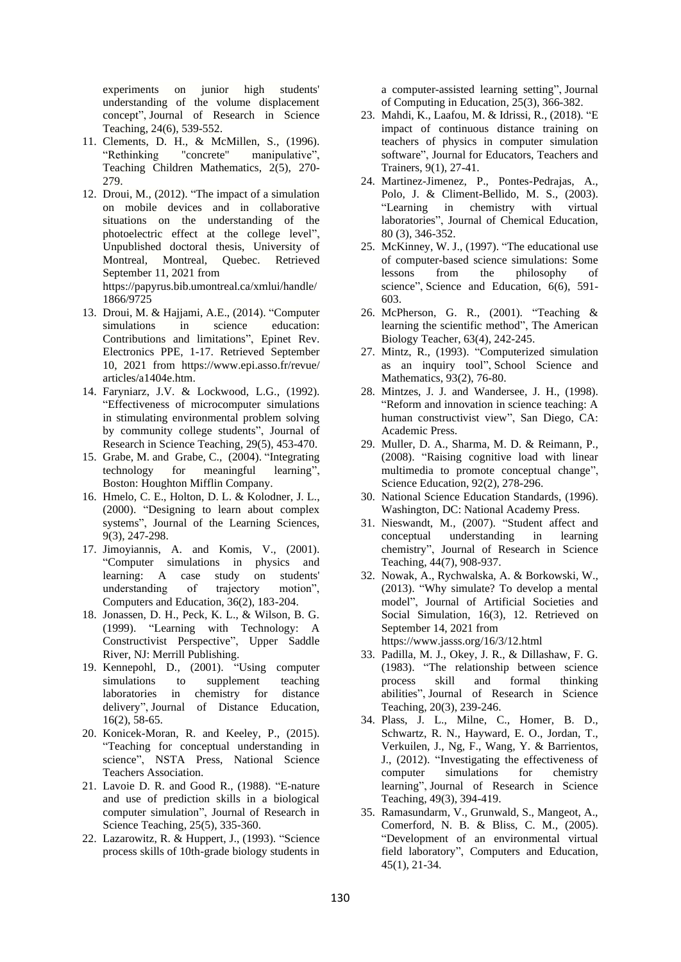experiments on junior high students' understanding of the volume displacement concept", Journal of Research in Science Teaching, 24(6), 539-552.

- 11. Clements, D. H., & McMillen, S., (1996).<br>
"Rethinking "concrete" manipulative", "concrete" manipulative", Teaching Children Mathematics, 2(5), 270- 279.
- 12. Droui, M., (2012). "The impact of a simulation on mobile devices and in collaborative situations on the understanding of the photoelectric effect at the college level", Unpublished doctoral thesis, University of Montreal, Montreal, Quebec. Retrieved September 11, 2021 from https://papyrus.bib.umontreal.ca/xmlui/handle/ 1866/9725
- 13. Droui, M. & Hajjami, A.E., (2014). "Computer simulations in science education: Contributions and limitations", Epinet Rev. Electronics PPE, 1-17. Retrieved September 10, 2021 from https://www.epi.asso.fr/revue/ articles/a1404e.htm.
- 14. Faryniarz, J.V. & Lockwood, L.G., (1992). "Effectiveness of microcomputer simulations in stimulating environmental problem solving by community college students", Journal of Research in Science Teaching, 29(5), 453-470.
- 15. Grabe, M. and Grabe, C., (2004). "Integrating technology for meaningful learning", Boston: Houghton Mifflin Company.
- 16. Hmelo, C. E., Holton, D. L. & Kolodner, J. L., (2000). "Designing to learn about complex systems", Journal of the Learning Sciences, 9(3), 247-298.
- 17. Jimoyiannis, A. and Komis, V., (2001). "Computer simulations in physics and learning: A case study on students' understanding of trajectory motion", Computers and Education, 36(2), 183-204.
- 18. Jonassen, D. H., Peck, K. L., & Wilson, B. G. (1999). "Learning with Technology: A Constructivist Perspective", Upper Saddle River, NJ: Merrill Publishing.
- 19. Kennepohl, D., (2001). "Using computer simulations to supplement teaching laboratories in chemistry for distance delivery", Journal of Distance Education, 16(2), 58-65.
- 20. Konicek-Moran, R. and Keeley, P., (2015). "Teaching for conceptual understanding in science", NSTA Press, National Science Teachers Association.
- 21. Lavoie D. R. and Good R., (1988). "E-nature and use of prediction skills in a biological computer simulation", Journal of Research in Science Teaching, 25(5), 335-360.
- 22. Lazarowitz, R. & Huppert, J., (1993). "Science process skills of 10th-grade biology students in

a computer-assisted learning setting", Journal of Computing in Education, 25(3), 366-382.

- 23. Mahdi, K., Laafou, M. & Idrissi, R., (2018). "E impact of continuous distance training on teachers of physics in computer simulation software", Journal for Educators, Teachers and Trainers, 9(1), 27-41.
- 24. Martinez-Jimenez, P., Pontes-Pedrajas, A., Polo, J. & Climent-Bellido, M. S., (2003). "Learning in chemistry with virtual laboratories", Journal of Chemical Education, 80 (3), 346-352.
- 25. McKinney, W. J., (1997). "The educational use of computer-based science simulations: Some lessons from the philosophy of science", Science and Education, 6(6), 591- 603.
- 26. McPherson, G. R., (2001). "Teaching & learning the scientific method", The American Biology Teacher, 63(4), 242-245.
- 27. Mintz, R., (1993). "Computerized simulation as an inquiry tool", School Science and Mathematics, 93(2), 76-80.
- 28. Mintzes, J. J. and Wandersee, J. H., (1998). "Reform and innovation in science teaching: A human constructivist view", San Diego, CA: Academic Press.
- 29. Muller, D. A., Sharma, M. D. & Reimann, P., (2008). "Raising cognitive load with linear multimedia to promote conceptual change", Science Education, 92(2), 278-296.
- 30. National Science Education Standards, (1996). Washington, DC: National Academy Press.
- 31. Nieswandt, M., (2007). "Student affect and conceptual understanding in learning chemistry", Journal of Research in Science Teaching, 44(7), 908-937.
- 32. Nowak, A., Rychwalska, A. & Borkowski, W., (2013). "Why simulate? To develop a mental model", Journal of Artificial Societies and Social Simulation, 16(3), 12. Retrieved on September 14, 2021 from https://www.jasss.org/16/3/12.html
- 33. Padilla, M. J., Okey, J. R., & Dillashaw, F. G. (1983). "The relationship between science process skill and formal thinking abilities", Journal of Research in Science Teaching, 20(3), 239-246.
- 34. Plass, J. L., Milne, C., Homer, B. D., Schwartz, R. N., Hayward, E. O., Jordan, T., Verkuilen, J., Ng, F., Wang, Y. & Barrientos, J., (2012). "Investigating the effectiveness of computer simulations for chemistry learning", Journal of Research in Science Teaching, 49(3), 394-419.
- 35. Ramasundarm, V., Grunwald, S., Mangeot, A., Comerford, N. B. & Bliss, C. M., (2005). "Development of an environmental virtual field laboratory", Computers and Education, 45(1), 21-34.